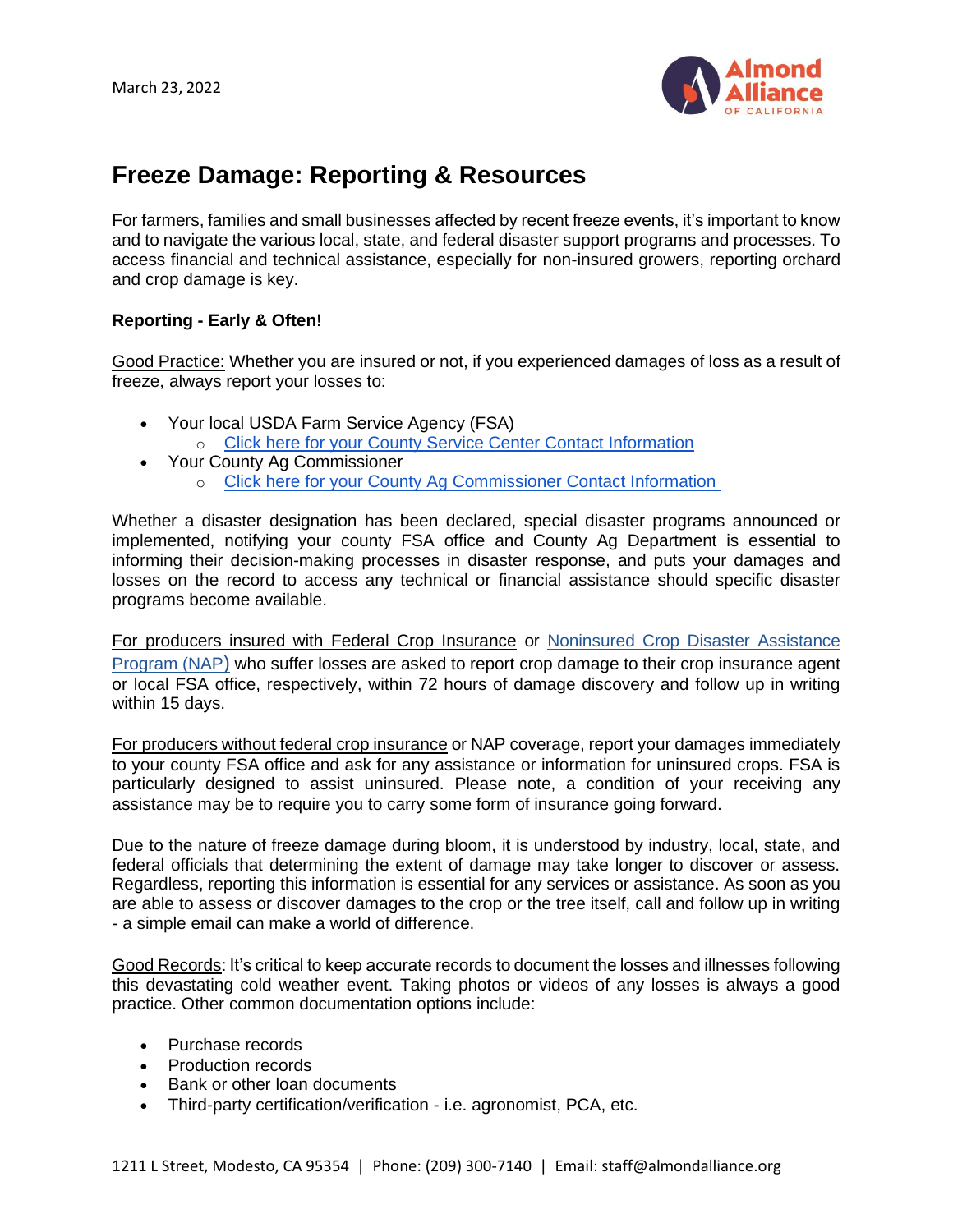

# **Freeze Damage: Reporting & Resources**

For farmers, families and small businesses affected by recent freeze events, it's important to know and to navigate the various local, state, and federal disaster support programs and processes. To access financial and technical assistance, especially for non-insured growers, reporting orchard and crop damage is key.

# **Reporting - Early & Often!**

Good Practice: Whether you are insured or not, if you experienced damages of loss as a result of freeze, always report your losses to:

- Your local USDA Farm Service Agency (FSA)
	- o [Click here for your County Service Center Contact Information](https://www.farmers.gov/working-with-us/service-center-locator)
- Your County Ag Commissioner o [Click here for your County Ag Commissioner Contact Information](https://www.cdfa.ca.gov/exec/county/countymap/)

Whether a disaster designation has been declared, special disaster programs announced or implemented, notifying your county FSA office and County Ag Department is essential to informing their decision-making processes in disaster response, and puts your damages and losses on the record to access any technical or financial assistance should specific disaster programs become available.

For producers insured with Federal Crop Insurance or [Noninsured Crop Disaster Assistance](https://www.fsa.usda.gov/programs-and-services/disaster-assistance-program/noninsured-crop-disaster-assistance/index)  [Program \(NAP](https://www.fsa.usda.gov/programs-and-services/disaster-assistance-program/noninsured-crop-disaster-assistance/index)) who suffer losses are asked to report crop damage to their crop insurance agent or local FSA office, respectively, within 72 hours of damage discovery and follow up in writing within 15 days.

For producers without federal crop insurance or NAP coverage, report your damages immediately to your county FSA office and ask for any assistance or information for uninsured crops. FSA is particularly designed to assist uninsured. Please note, a condition of your receiving any assistance may be to require you to carry some form of insurance going forward.

Due to the nature of freeze damage during bloom, it is understood by industry, local, state, and federal officials that determining the extent of damage may take longer to discover or assess. Regardless, reporting this information is essential for any services or assistance. As soon as you are able to assess or discover damages to the crop or the tree itself, call and follow up in writing - a simple email can make a world of difference.

Good Records: It's critical to keep accurate records to document the losses and illnesses following this devastating cold weather event. Taking photos or videos of any losses is always a good practice. Other common documentation options include:

- Purchase records
- Production records
- Bank or other loan documents
- Third-party certification/verification i.e. agronomist, PCA, etc.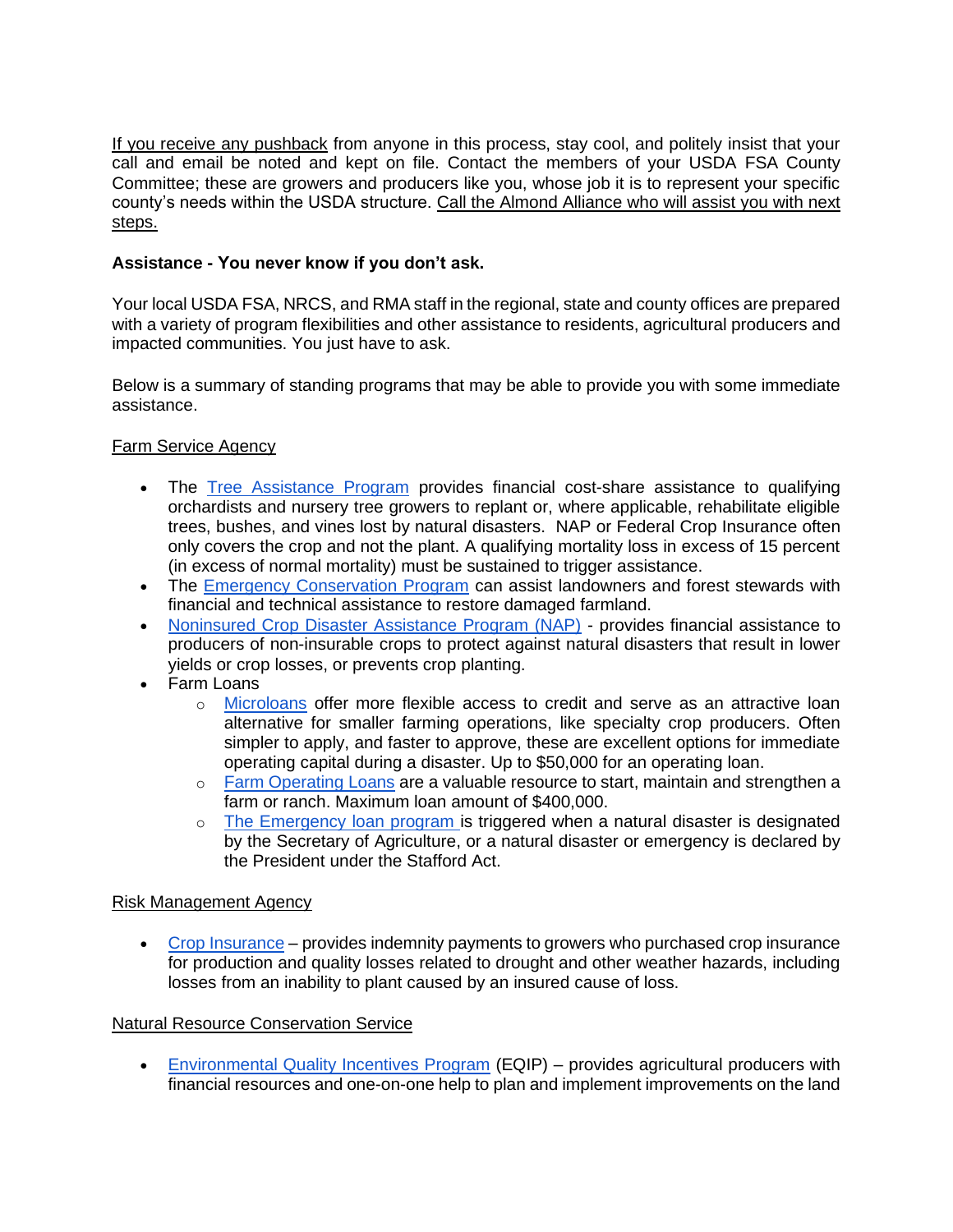If you receive any pushback from anyone in this process, stay cool, and politely insist that your call and email be noted and kept on file. Contact the members of your USDA FSA County Committee; these are growers and producers like you, whose job it is to represent your specific county's needs within the USDA structure. Call the Almond Alliance who will assist you with next steps.

## **Assistance - You never know if you don't ask.**

Your local USDA FSA, NRCS, and RMA staff in the regional, state and county offices are prepared with a variety of program flexibilities and other assistance to residents, agricultural producers and impacted communities. You just have to ask.

Below is a summary of standing programs that may be able to provide you with some immediate assistance.

## Farm Service Agency

- The [Tree Assistance Program](https://www.fsa.usda.gov/programs-and-services/disaster-assistance-program/tree-assistance-program/index) provides financial cost-share assistance to qualifying orchardists and nursery tree growers to replant or, where applicable, rehabilitate eligible trees, bushes, and vines lost by natural disasters. NAP or Federal Crop Insurance often only covers the crop and not the plant. A qualifying mortality loss in excess of 15 percent (in excess of normal mortality) must be sustained to trigger assistance.
- The [Emergency Conservation Program](https://www.fsa.usda.gov/programs-and-services/conservation-programs/emergency-conservation/index) can assist landowners and forest stewards with financial and technical assistance to restore damaged farmland.
- [Noninsured Crop Disaster Assistance Program \(NAP\)](https://www.fsa.usda.gov/programs-and-services/disaster-assistance-program/noninsured-crop-disaster-assistance/index) provides financial assistance to producers of non-insurable crops to protect against natural disasters that result in lower yields or crop losses, or prevents crop planting.
- Farm Loans
	- o [Microloans](https://www.fsa.usda.gov/Assets/USDA-FSA-Public/usdafiles/FactSheets/2019/microloans-fact_sheet-aug_2019.pdf) offer more flexible access to credit and serve as an attractive loan alternative for smaller farming operations, like specialty crop producers. Often simpler to apply, and faster to approve, these are excellent options for immediate operating capital during a disaster. Up to \$50,000 for an operating loan.
	- o [Farm Operating Loans](https://www.fsa.usda.gov/Assets/USDA-FSA-Public/usdafiles/FactSheets/farm_loans_overview-factsheet.pdf) are a valuable resource to start, maintain and strengthen a farm or ranch. Maximum loan amount of \$400,000.
	- o [The Emergency loan program i](https://www.fsa.usda.gov/programs-and-services/farm-loan-programs/emergency-farm-loans/index)s triggered when a natural disaster is designated by the Secretary of Agriculture, or a natural disaster or emergency is declared by the President under the Stafford Act.

#### Risk Management Agency

• [Crop Insurance](https://www.rma.usda.gov/) – provides indemnity payments to growers who purchased crop insurance for production and quality losses related to drought and other weather hazards, including losses from an inability to plant caused by an insured cause of loss.

## Natural Resource Conservation Service

• [Environmental Quality Incentives Program](https://www.nrcs.usda.gov/wps/portal/nrcs/main/national/programs/financial/eqip/) (EQIP) – provides agricultural producers with financial resources and one-on-one help to plan and implement improvements on the land